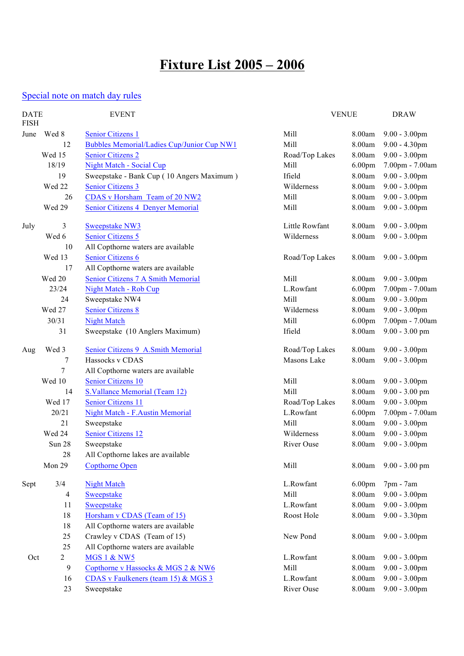# **Fixture List 2005 – 2006**

# Special note on match day rules

| <b>DATE</b> |                | <b>EVENT</b>                               |                | <b>VENUE</b>       | <b>DRAW</b>      |
|-------------|----------------|--------------------------------------------|----------------|--------------------|------------------|
| <b>FISH</b> |                |                                            |                |                    |                  |
| June        | Wed 8          | <b>Senior Citizens 1</b>                   | Mill           | 8.00am             | $9.00 - 3.00$ pm |
|             | 12             | Bubbles Memorial/Ladies Cup/Junior Cup NW1 | Mill           | 8.00am             | $9.00 - 4.30$ pm |
|             | Wed 15         | <b>Senior Citizens 2</b>                   | Road/Top Lakes | 8.00am             | $9.00 - 3.00$ pm |
|             | 18/19          | <b>Night Match - Social Cup</b>            | Mill           | 6.00 <sub>pm</sub> | 7.00pm - 7.00am  |
|             | 19             | Sweepstake - Bank Cup (10 Angers Maximum)  | Ifield         | 8.00am             | $9.00 - 3.00$ pm |
|             | Wed 22         | <b>Senior Citizens 3</b>                   | Wilderness     | 8.00am             | $9.00 - 3.00$ pm |
|             | 26             | CDAS v Horsham Team of 20 NW2              | Mill           | 8.00am             | $9.00 - 3.00$ pm |
|             | Wed 29         | <b>Senior Citizens 4 Denyer Memorial</b>   | Mill           | 8.00am             | $9.00 - 3.00$ pm |
| July        | 3              | <b>Sweepstake NW3</b>                      | Little Rowfant | 8.00am             | $9.00 - 3.00$ pm |
|             | Wed 6          | <b>Senior Citizens 5</b>                   | Wilderness     | 8.00am             | $9.00 - 3.00$ pm |
|             | 10             | All Copthorne waters are available         |                |                    |                  |
|             | Wed 13         | <b>Senior Citizens 6</b>                   | Road/Top Lakes | 8.00am             | $9.00 - 3.00$ pm |
|             | 17             | All Copthorne waters are available         |                |                    |                  |
|             | Wed 20         | Senior Citizens 7 A Smith Memorial         | Mill           | 8.00am             | $9.00 - 3.00$ pm |
|             | 23/24          | Night Match - Rob Cup                      | L.Rowfant      | 6.00 <sub>pm</sub> | 7.00pm - 7.00am  |
|             | 24             | Sweepstake NW4                             | Mill           | 8.00am             | $9.00 - 3.00$ pm |
|             | Wed 27         | <b>Senior Citizens 8</b>                   | Wilderness     | 8.00am             | $9.00 - 3.00$ pm |
|             | 30/31          | <b>Night Match</b>                         | Mill           | 6.00 <sub>pm</sub> | 7.00pm - 7.00am  |
|             | 31             | Sweepstake (10 Anglers Maximum)            | Ifield         | 8.00am             | $9.00 - 3.00$ pm |
| Aug         | Wed 3          | Senior Citizens 9 A.Smith Memorial         | Road/Top Lakes | 8.00am             | $9.00 - 3.00$ pm |
|             | 7              | Hassocks v CDAS                            | Masons Lake    | 8.00am             | $9.00 - 3.00$ pm |
|             | 7              | All Copthorne waters are available         |                |                    |                  |
|             | Wed 10         | <b>Senior Citizens 10</b>                  | Mill           | 8.00am             | $9.00 - 3.00$ pm |
|             | 14             | <b>S.Vallance Memorial (Team 12)</b>       | Mill           | 8.00am             | $9.00 - 3.00$ pm |
|             | Wed 17         | Senior Citizens 11                         | Road/Top Lakes | 8.00am             | $9.00 - 3.00$ pm |
|             | 20/21          | Night Match - F.Austin Memorial            | L.Rowfant      | 6.00 <sub>pm</sub> | 7.00pm - 7.00am  |
|             | 21             | Sweepstake                                 | Mill           | 8.00am             | $9.00 - 3.00$ pm |
|             | Wed 24         | <b>Senior Citizens 12</b>                  | Wilderness     | 8.00am             | $9.00 - 3.00$ pm |
|             | Sun 28         | Sweepstake                                 | River Ouse     | 8.00am             | $9.00 - 3.00$ pm |
|             | 28             | All Copthorne lakes are available          |                |                    |                  |
|             | Mon 29         | <b>Copthorne Open</b>                      | Mill           | 8.00am             | $9.00 - 3.00$ pm |
| Sept        | 3/4            | <b>Night Match</b>                         | L.Rowfant      | 6.00 <sub>pm</sub> | 7pm - 7am        |
|             | 4              | Sweepstake                                 | Mill           | 8.00am             | $9.00 - 3.00$ pm |
|             | 11             | Sweepstake                                 | L.Rowfant      | 8.00am             | $9.00 - 3.00$ pm |
|             | 18             | Horsham v CDAS (Team of 15)                | Roost Hole     | 8.00am             | $9.00 - 3.30$ pm |
|             | 18             | All Copthorne waters are available         |                |                    |                  |
|             | 25             | Crawley v CDAS (Team of 15)                | New Pond       | 8.00am             | $9.00 - 3.00$ pm |
|             | 25             | All Copthorne waters are available         |                |                    |                  |
| Oct         | $\overline{c}$ | <b>MGS 1 &amp; NW5</b>                     | L.Rowfant      | 8.00am             | $9.00 - 3.00$ pm |
|             | 9              | Copthorne v Hassocks & MGS 2 & NW6         | Mill           | 8.00am             | $9.00 - 3.00$ pm |
|             | 16             | CDAS v Faulkeners (team 15) & MGS 3        | L.Rowfant      | 8.00am             | $9.00 - 3.00$ pm |
|             | 23             | Sweepstake                                 | River Ouse     | 8.00am             | $9.00 - 3.00$ pm |
|             |                |                                            |                |                    |                  |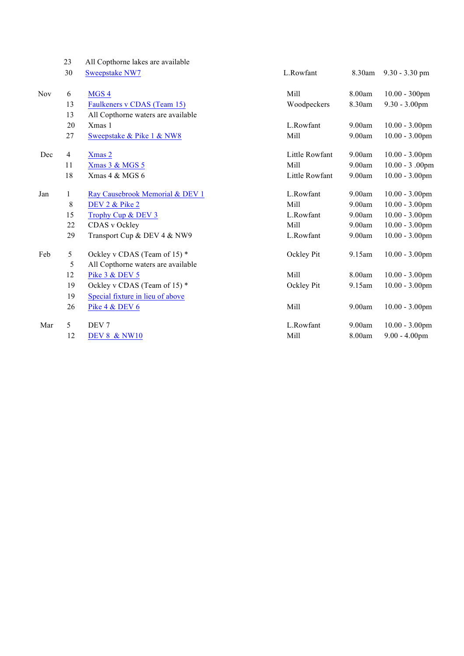|            | 23             | All Copthorne lakes are available  |                |        |                   |
|------------|----------------|------------------------------------|----------------|--------|-------------------|
|            | 30             | Sweepstake NW7                     | L.Rowfant      | 8.30am | $9.30 - 3.30$ pm  |
| <b>Nov</b> | 6              | MGS <sub>4</sub>                   | Mill           | 8.00am | $10.00 - 300$ pm  |
|            | 13             | Faulkeners v CDAS (Team 15)        | Woodpeckers    | 8.30am | $9.30 - 3.00$ pm  |
|            | 13             | All Copthorne waters are available |                |        |                   |
|            | 20             | Xmas 1                             | L.Rowfant      | 9.00am | $10.00 - 3.00$ pm |
|            | 27             | Sweepstake & Pike 1 & NW8          | Mill           | 9.00am | $10.00 - 3.00$ pm |
| Dec        | $\overline{4}$ | Xmas 2                             | Little Rowfant | 9.00am | $10.00 - 3.00$ pm |
|            | 11             | Xmas 3 & MGS 5                     | Mill           | 9.00am | $10.00 - 3.00$ pm |
|            | 18             | Xmas 4 & MGS 6                     | Little Rowfant | 9.00am | $10.00 - 3.00$ pm |
| Jan        | $\mathbf{1}$   | Ray Causebrook Memorial & DEV 1    | L.Rowfant      | 9.00am | $10.00 - 3.00$ pm |
|            | $\,8\,$        | DEV 2 & Pike 2                     | Mill           | 9.00am | $10.00 - 3.00$ pm |
|            | 15             | Trophy Cup & DEV 3                 | L.Rowfant      | 9.00am | $10.00 - 3.00$ pm |
|            | 22             | CDAS v Ockley                      | Mill           | 9.00am | $10.00 - 3.00$ pm |
|            | 29             | Transport Cup & DEV 4 & NW9        | L.Rowfant      | 9.00am | $10.00 - 3.00$ pm |
| Feb        | 5              | Ockley v CDAS (Team of 15) *       | Ockley Pit     | 9.15am | $10.00 - 3.00$ pm |
|            | 5              | All Copthorne waters are available |                |        |                   |
|            | 12             | Pike 3 & DEV 5                     | Mill           | 8.00am | $10.00 - 3.00$ pm |
|            | 19             | Ockley v CDAS (Team of 15) *       | Ockley Pit     | 9.15am | $10.00 - 3.00$ pm |
|            | 19             | Special fixture in lieu of above   |                |        |                   |
|            | 26             | Pike 4 & DEV 6                     | Mill           | 9.00am | $10.00 - 3.00$ pm |
| Mar        | 5              | DEV <sub>7</sub>                   | L.Rowfant      | 9.00am | $10.00 - 3.00$ pm |
|            | 12             | <b>DEV 8 &amp; NW10</b>            | Mill           | 8.00am | $9.00 - 4.00$ pm  |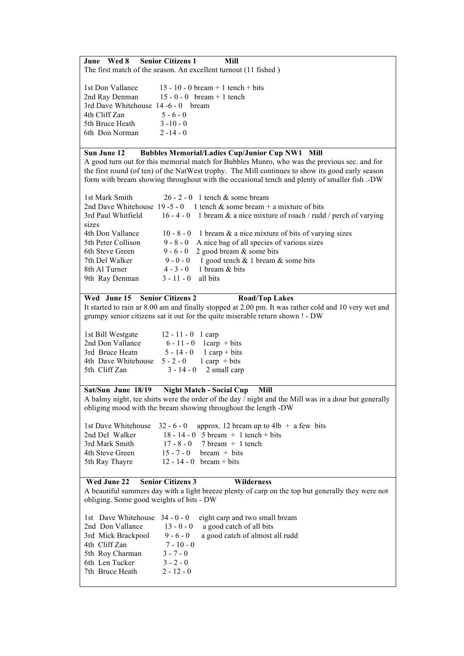**June Wed 8 Senior Citizens 1 Mill** The first match of the season. An excellent turnout (11 fished )

| 1st Don Vallance                    | 15 - 10 - 0 bream + 1 tench + bits |
|-------------------------------------|------------------------------------|
| 2nd Ray Denman                      | 15 - 0 - 0 bream + 1 tench         |
| 3rd Dave Whitehouse 14 -6 - 0 bream |                                    |
| 4th Cliff Zan                       | $5 - 6 - 0$                        |
| 5th Bruce Heath                     | $3 - 10 - 0$                       |
| 6th Don Norman                      | $2 - 14 - 0$                       |

#### **Sun June 12 Bubbles Memorial/Ladies Cup/Junior Cup NW1 Mill**

A good turn out for this memorial match for Bubbles Munro, who was the previous sec. and for the first round (of ten) of the NatWest trophy. The Mill continues to show its good early season form with bream showing throughout with the occasional tench and plenty of smaller fish .-DW

| 1st Mark Smith     |                       | 26 - 2 - 0 1 tench $\&$ some bream                                     |
|--------------------|-----------------------|------------------------------------------------------------------------|
|                    |                       | 2nd Dave Whitehouse 19-5 - 0 1 tench & some bream + a mixture of bits  |
| 3rd Paul Whitfield |                       | 16 - 4 - 0 1 bream & a nice mixture of roach / rudd / perch of varying |
| sizes              |                       |                                                                        |
| 4th Don Vallance   |                       | 10 - 8 - 0 1 bream $\&$ a nice mixture of bits of varying sizes        |
| 5th Peter Collison |                       | $9 - 8 - 0$ A nice bag of all species of various sizes                 |
| 6th Steve Green    |                       | $9 - 6 - 0$ 2 good bream & some bits                                   |
| 7th Del Walker     |                       | 9 - 0 - 0 1 good tench & 1 bream & some bits                           |
| 8th Al Turner      |                       | $4 - 3 - 0$ 1 bream & bits                                             |
| 9th Ray Denman     | $3 - 11 - 0$ all bits |                                                                        |

## **Wed June 15 Senior Citizens 2 Road/Top Lakes**

It started to rain ar 8.00 am and finally stopped at 2.00 pm. It was rather cold and 10 very wet and grumpy senior citizens sat it out for the quite miserable return shown ! - DW

| 1st Bill Westgate   | $12 - 11 - 0$ 1 carp |                            |
|---------------------|----------------------|----------------------------|
| 2nd Don Vallance    |                      | $6 - 11 - 0$ 1 carp + bits |
| 3rd Bruce Heatn     |                      | $5 - 14 - 0$ 1 carp + bits |
| 4th Dave Whitehouse | $5 - 2 - 0$          | $1$ carp + bits            |
| 5th Cliff Zan       |                      | $3 - 14 - 0$ 2 small carp  |
|                     |                      |                            |

### **Sat/Sun June 18/19 Night Match - Social Cup Mill**

A balmy night, tee shirts were the order of the day / night and the Mill was in a dour but generally obliging mood with the bream showing throughout the length -DW

1st Dave Whitehouse  $32 - 6 - 0$  approx. 12 bream up to 4lb + a few bits<br>2nd Del Walker  $18 - 14 - 0$  5 bream + 1 tench + bits  $18 - 14 - 0$  5 bream + 1 tench + bits  $3rd$  Mark Smith  $17 - 8 - 0$  7 bream + 1 tench 4th Steve Green 15 - 7 - 0 bream + bits 5th Ray Thayre  $12 - 14 - 0$  bream + bits

#### **Wed June 22 Senior Citizens 3 Wilderness** A beautiful summers day with a light breeze plenty of carp on the top but generally they were not obliging. Some good weights of bits - DW

| 1st Dave Whitehouse $34 - 0 - 0$ |              | eight carp and two small bream  |
|----------------------------------|--------------|---------------------------------|
| 2nd Don Vallance                 | $13 - 0 - 0$ | a good catch of all bits        |
| 3rd Mick Brackpool               | $9 - 6 - 0$  | a good catch of almost all rudd |
| 4th Cliff Zan                    | $7 - 10 - 0$ |                                 |
| 5th Roy Charman                  | $3 - 7 - 0$  |                                 |
| 6th Len Tucker                   | $3 - 2 - 0$  |                                 |
| 7th Bruce Heath                  | $2 - 12 - 0$ |                                 |
|                                  |              |                                 |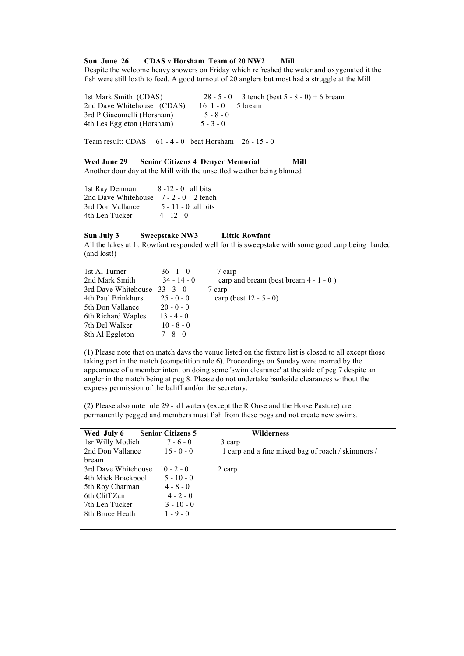**Sun June 26 CDAS v Horsham Team of 20 NW2 Mill** Despite the welcome heavy showers on Friday which refreshed the water and oxygenated it the fish were still loath to feed. A good turnout of 20 anglers but most had a struggle at the Mill 1st Mark Smith (CDAS) 28 - 5 - 0 3 tench (best 5 - 8 - 0) + 6 bream 2nd Dave Whitehouse (CDAS) 16 1 - 0 5 bream<br>3rd P Giacomelli (Horsham) 5 - 8 - 0 3rd P Giacomelli (Horsham) 5 - 8 - 0<br>4th Les Eggleton (Horsham) 5 - 3 - 0 4th Les Eggleton (Horsham) Team result: CDAS 61 - 4 - 0 beat Horsham 26 - 15 - 0 **Wed June 29 Senior Citizens 4 Denyer Memorial Mill** Another dour day at the Mill with the unsettled weather being blamed 1st Ray Denman 8 -12 - 0 all bits 2nd Dave Whitehouse 7 - 2 - 0 2 tench 3rd Don Vallance 5 - 11 - 0 all bits 4th Len Tucker 4 - 12 - 0 **Sun July 3 Sweepstake NW3 Little Rowfant** All the lakes at L. Rowfant responded well for this sweepstake with some good carp being landed (and lost!) 1st Al Turner 36 - 1 - 0 7 carp 2nd Mark Smith  $34 - 14 - 0$  carp and bream (best bream  $4 - 1 - 0$ ) 3rd Dave Whitehouse  $33 - 3 - 0$  7 carp 4th Paul Brinkhurst  $25 - 0 - 0$  carp (best 12 - 5 - 0) 5th Don Vallance  $20 - 0 - 0$ 6th Richard Waples 13 - 4 - 0 7th Del Walker 10 - 8 - 0 8th Al Eggleton  $7 - 8 - 0$ (1) Please note that on match days the venue listed on the fixture list is closed to all except those taking part in the match (competition rule 6). Proceedings on Sunday were marred by the appearance of a member intent on doing some 'swim clearance' at the side of peg 7 despite an angler in the match being at peg 8. Please do not undertake bankside clearances without the express permission of the baliff and/or the secretary. (2) Please also note rule 29 - all waters (except the R.Ouse and the Horse Pasture) are permanently pegged and members must fish from these pegs and not create new swims. **Wed July 6 Senior Citizens 5 Wilderness** 1sr Willy Modich  $17 - 6 - 0$  3 carp 2nd Don Vallance 16 - 0 - 0 1 carp and a fine mixed bag of roach / skimmers / bream 3rd Dave Whitehouse  $10 - 2 - 0$  2 carp 4th Mick Brackpool 5 - 10 - 0 5th Roy Charman  $4 - 8 - 0$ 6th Cliff Zan 4 - 2 - 0 7th Len Tucker 3 - 10 - 0 8th Bruce Heath  $1 - 9 - 0$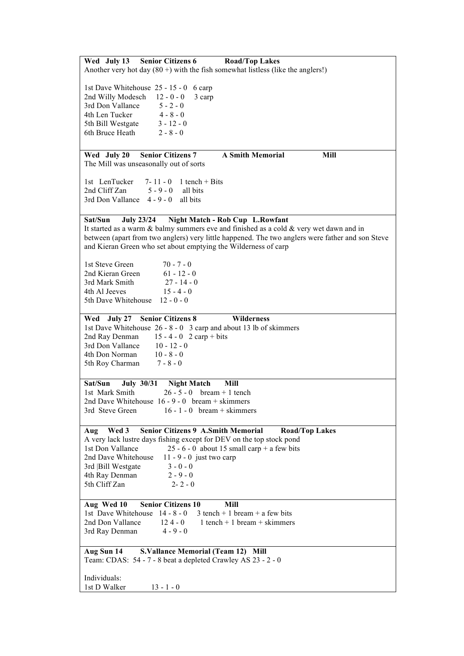**Wed July 13 Senior Citizens 6 Road/Top Lakes** Another very hot day  $(80 +)$  with the fish somewhat listless (like the anglers!) 1st Dave Whitehouse 25 - 15 - 0 6 carp 2nd Willy Modesch  $12 - 0 - 0$  3 carp 3rd Don Vallance  $5 - 2 - 0$ <br>4th Len Tucker  $4 - 8 - 0$ 4th Len Tucker  $4 - 8 - 0$ <br>5th Bill Westgate  $3 - 12 - 0$ 5th Bill Westgate 6th Bruce Heath  $2 - 8 - 0$ Wed July 20 Senior Citizens 7 A Smith Memorial Mill The Mill was unseasonally out of sorts 1st LenTucker  $7-11-0$  1 tench + Bits 2nd Cliff Zan  $5 - 9 - 0$  all bits 3rd Don Vallance 4 - 9 - 0 all bits **Sat/Sun July 23/24 Night Match - Rob Cup L.Rowfant** It started as a warm  $\&$  balmy summers eve and finished as a cold  $\&$  very wet dawn and in between (apart from two anglers) very little happened. The two anglers were father and son Steve and Kieran Green who set about emptying the Wilderness of carp 1st Steve Green  $70 - 7 - 0$ 2nd Kieran Green 61 - 12 - 0 3rd Mark Smith 27 - 14 - 0 4th Al Jeeves 15 - 4 - 0 5th Dave Whitehouse 12 - 0 - 0 **Wed July 27 Senior Citizens 8 Wilderness** 1st Dave Whitehouse 26 - 8 - 0 3 carp and about 13 lb of skimmers 2nd Ray Denman  $15 - 4 - 0$  2 carp + bits 3rd Don Vallance 10 - 12 - 0 4th Don Norman 10 - 8 - 0 5th Roy Charman 7 - 8 - 0 **Sat/Sun July 30/31 Night Match Mill** 1st Mark Smith  $26 - 5 - 0$  bream + 1 tench 2nd Dave Whitehouse 16 - 9 - 0 bream + skimmers 3rd Steve Green 16 - 1 - 0 bream + skimmers **Aug Wed 3 Senior Citizens 9 A.Smith Memorial Road/Top Lakes** A very lack lustre days fishing except for DEV on the top stock pond 1st Don Vallance  $25 - 6 - 0$  about 15 small carp + a few bits 2nd Dave Whitehouse 11 - 9 - 0 just two carp  $3rd$  |Bill Westgate  $3 - 0 - 0$ 4th Ray Denman 2 - 9 - 0 5th Cliff Zan 2- 2 - 0 **Aug Wed 10 Senior Citizens 10 Mill** 1st Dave Whitehouse  $14 - 8 - 0$  3 tench + 1 bream + a few bits 2nd Don Vallance  $12 4 - 0$  1 tench + 1 bream + skimmers 3rd Ray Denman 4 - 9 - 0 **Aug Sun 14 S.Vallance Memorial (Team 12) Mill** Team: CDAS: 54 - 7 - 8 beat a depleted Crawley AS 23 - 2 - 0 Individuals: 1st D Walker 13 - 1 - 0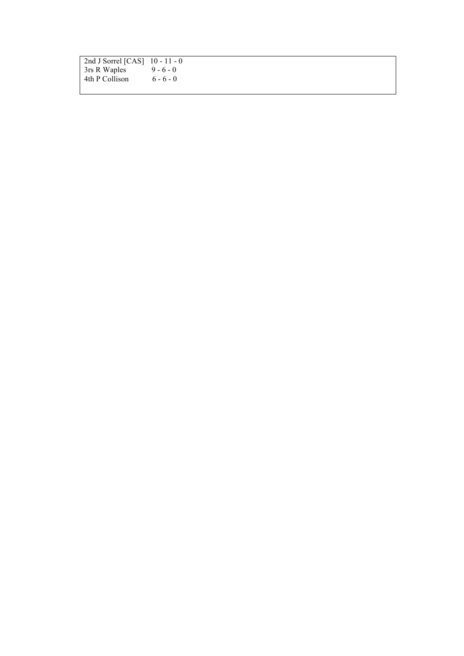| 2nd J Sorrel $[CAS]$ 10 - 11 - 0 |             |
|----------------------------------|-------------|
| 3rs R Waples                     | $9 - 6 - 0$ |
| 4th P Collison                   | $6 - 6 - 0$ |
|                                  |             |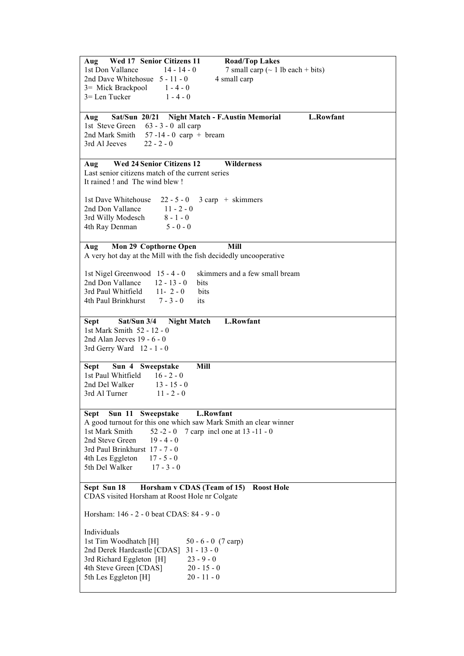**Aug Wed 17 Senior Citizens 11 Road/Top Lakes** 1st Don Vallance 14 - 14 - 0 7 small carp  $(\sim 1 \text{ lb each + bits})$ 2nd Dave Whitehosue  $5 - 11 - 0$  4 small carp  $3=$  Mick Brackpool  $1 - 4 - 0$  $3 =$  Len Tucker 1 - 4 - 0 **Aug Sat/Sun 20/21 Night Match - F.Austin Memorial L.Rowfant** 1st Steve Green 63 - 3 - 0 all carp 2nd Mark Smith  $57 - 14 - 0$  carp  $+$  bream 3rd Al Jeeves 22 - 2 - 0 **Aug Wed 24 Senior Citizens 12 Wilderness** Last senior citizens match of the current series It rained ! and The wind blew ! 1st Dave Whitehouse  $22 - 5 - 0$  3 carp + skimmers 2nd Don Vallance  $11 - 2 - 0$ <br>3rd Willy Modesch  $8 - 1 - 0$ 3rd Willy Modesch  $8 - 1 - 0$ <br>4th Rav Denman  $5 - 0 - 0$ 4th Ray Denman **Aug Mon 29 Copthorne Open Mill** A very hot day at the Mill with the fish decidedly uncooperative 1st Nigel Greenwood 15 - 4 - 0 skimmers and a few small bream 2nd Don Vallance 12 - 13 - 0 bits 3rd Paul Whitfield 11- 2 - 0 bits 4th Paul Brinkhurst 7 - 3 - 0 its **Sept Sat/Sun 3/4 Night Match L.Rowfant** 1st Mark Smith 52 - 12 - 0 2nd Alan Jeeves 19 - 6 - 0 3rd Gerry Ward 12 - 1 - 0 **Sept Sun 4 Sweepstake Mill** 1st Paul Whitfield 2nd Del Walker 13 - 15 - 0 3rd Al Turner 11 - 2 - 0 **Sept Sun 11 Sweepstake L.Rowfant** A good turnout for this one which saw Mark Smith an clear winner 1st Mark Smith 52 -2 - 0 7 carp incl one at 13 -11 - 0 2nd Steve Green 19 - 4 - 0 3rd Paul Brinkhurst 17 - 7 - 0 4th Les Eggleton  $17 - 5 - 0$ 5th Del Walker  $17 - 3 - 0$ **Sept Sun 18 Horsham v CDAS (Team of 15) Roost Hole** CDAS visited Horsham at Roost Hole nr Colgate Horsham: 146 - 2 - 0 beat CDAS: 84 - 9 - 0 Individuals 1st Tim Woodhatch [H]  $50 - 6 - 0$  (7 carp) 2nd Derek Hardcastle [CDAS] 31 - 13 - 0 3rd Richard Eggleton [H] 23 - 9 - 0 4th Steve Green [CDAS] 20 - 15 - 0 5th Les Eggleton [H] 20 - 11 - 0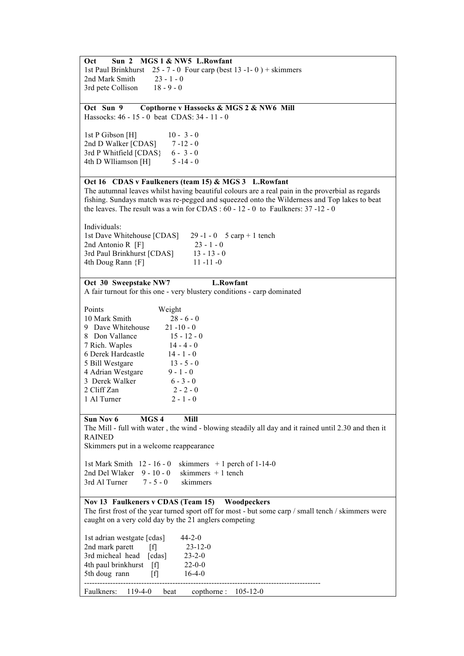**Oct Sun 2 MGS 1 & NW5 L.Rowfant** 1st Paul Brinkhurst 25 - 7 - 0 Four carp (best 13 -1- 0 ) + skimmers 2nd Mark Smith 23 - 1 - 0 3rd pete Collison 18 - 9 - 0 **Oct Sun 9 Copthorne v Hassocks & MGS 2 & NW6 Mill** Hassocks: 46 - 15 - 0 beat CDAS: 34 - 11 - 0 1st P Gibson [H] 10 - 3 - 0 2nd D Walker  $[CDAS]$  7 -12 - 0 3rd P Whitfield  $[CDAS]$  6 - 3 - 0 4th D Wlliamson  $[H]$  5 -14 - 0 **Oct 16 CDAS v Faulkeners (team 15) & MGS 3 L.Rowfant** The autumnal leaves whilst having beautiful colours are a real pain in the proverbial as regards fishing. Sundays match was re-pegged and squeezed onto the Wilderness and Top lakes to beat the leaves. The result was a win for CDAS : 60 - 12 - 0 to Faulkners: 37 -12 - 0 Individuals: 1st Dave Whitehouse [CDAS] 29 -1 - 0 5 carp + 1 tench<br>
2nd Antonio R [F] 23 - 1 - 0  $2nd$  Antonio R [F] 3rd Paul Brinkhurst [CDAS] 13 - 13 - 0 4th Doug Rann {F] 11 -11 -0 **Oct 30 Sweepstake NW7 L.Rowfant** A fair turnout for this one - very blustery conditions - carp dominated Points Weight 10 Mark Smith 28 - 6 - 0 9 Dave Whitehouse 21-10-0 8 Don Vallance 15 - 12 - 0 7 Rich. Waples 14 - 4 - 0 6 Derek Hardcastle 14 - 1 - 0 5 Bill Westgare 13 - 5 - 0 4 Adrian Westgare  $9 - 1 - 0$ 3 Derek Walker 6 - 3 - 0 2 Cliff Zan 2 - 2 - 0 1 Al Turner 2 - 1 - 0 **Sun Nov 6 MGS 4 Mill** The Mill - full with water , the wind - blowing steadily all day and it rained until 2.30 and then it RAINED Skimmers put in a welcome reappearance 1st Mark Smith 12 - 16 - 0 skimmers + 1 perch of 1-14-0 2nd Del Wlaker 9 - 10 - 0 skimmers + 1 tench 3rd Al Turner 7 - 5 - 0 skimmers **Nov 13 Faulkeners v CDAS (Team 15) Woodpeckers** The first frost of the year turned sport off for most - but some carp / small tench / skimmers were caught on a very cold day by the 21 anglers competing 1st adrian westgate [cdas] 44-2-0 2nd mark parett  $[f]$  23-12-0 3rd micheal head [cdas] 23-2-0 4th paul brinkhurst [f] 22-0-0 5th doug rann [f] 16-4-0 ------------------------------------------------------------------------------------------- Faulkners: 119-4-0 beat copthorne : 105-12-0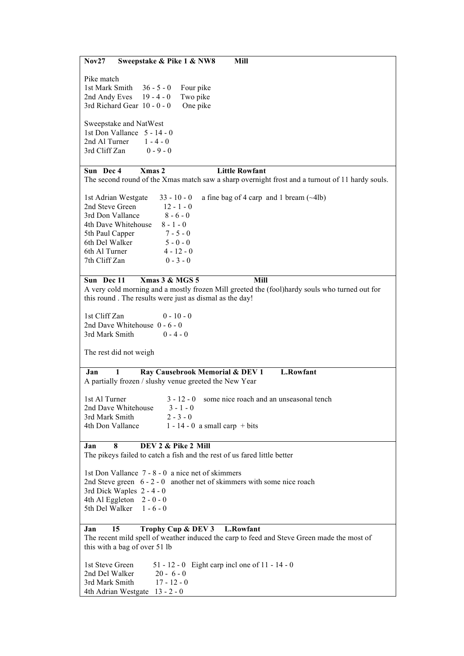**Nov27 Sweepstake & Pike 1 & NW8 Mill** Pike match 1st Mark Smith 36 - 5 - 0 Four pike 2nd Andy Eves 19 - 4 - 0 Two pike 3rd Richard Gear 10 - 0 - 0 One pike Sweepstake and NatWest 1st Don Vallance 5 - 14 - 0 2nd Al Turner  $1 - 4 - 0$ 3rd Cliff Zan 0 - 9 - 0 **Sun Dec 4 Xmas 2 Little Rowfant** The second round of the Xmas match saw a sharp overnight frost and a turnout of 11 hardy souls. 1st Adrian Westgate  $33 - 10 - 0$  a fine bag of 4 carp and 1 bream (~4lb) 2nd Steve Green 12 - 1 - 0  $3rd$  Don Vallance  $8 - 6 - 0$ 4th Dave Whitehouse 8 - 1 - 0 5th Paul Capper 7 - 5 - 0 6th Del Walker 5 - 0 - 0 6th Al Turner 4 - 12 - 0 7th Cliff Zan 0 - 3 - 0 **Sun Dec 11 Xmas 3 & MGS 5 Mill** A very cold morning and a mostly frozen Mill greeted the (fool)hardy souls who turned out for this round . The results were just as dismal as the day! 1st Cliff Zan 0 - 10 - 0 2nd Dave Whitehouse 0 - 6 - 0  $3rd$  Mark Smith  $0 - 4 - 0$ The rest did not weigh **Jan 1 Ray Causebrook Memorial & DEV 1 L.Rowfant** A partially frozen / slushy venue greeted the New Year 1st Al Turner 3 - 12 - 0 some nice roach and an unseasonal tench 2nd Dave Whitehouse  $3 - 1 - 0$ 3rd Mark Smith 2 - 3 - 0 4th Don Vallance  $1 - 14 - 0$  a small carp + bits **Jan 8 DEV 2 & Pike 2 Mill** The pikeys failed to catch a fish and the rest of us fared little better 1st Don Vallance 7 - 8 - 0 a nice net of skimmers 2nd Steve green 6 - 2 - 0 another net of skimmers with some nice roach 3rd Dick Waples 2 - 4 - 0 4th Al Eggleton  $2 - 0 - 0$ 5th Del Walker  $1 - 6 - 0$ **Jan 15 Trophy Cup & DEV 3 L.Rowfant** The recent mild spell of weather induced the carp to feed and Steve Green made the most of this with a bag of over 51 lb 1st Steve Green 51 - 12 - 0 Eight carp incl one of 11 - 14 - 0 2nd Del Walker 20 - 6 - 0 3rd Mark Smith 17 - 12 - 0 4th Adrian Westgate 13 - 2 - 0